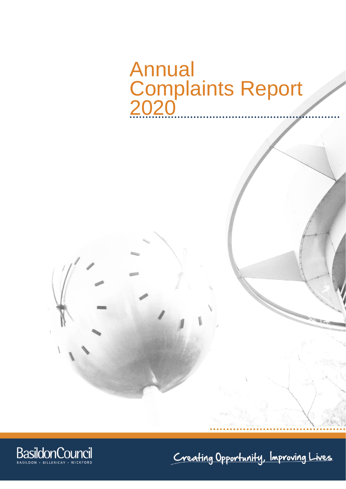# Annual Complaints Report 2020

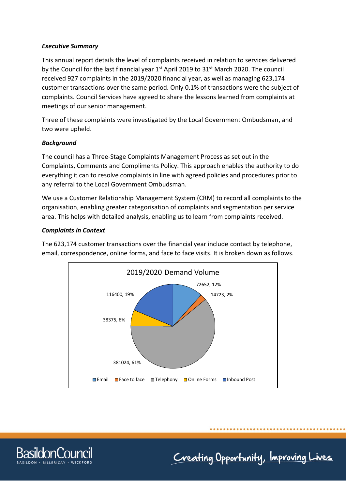## *Executive Summary*

This annual report details the level of complaints received in relation to services delivered by the Council for the last financial year 1<sup>st</sup> April 2019 to 31<sup>st</sup> March 2020. The council received 927 complaints in the 2019/2020 financial year, as well as managing 623,174 customer transactions over the same period. Only 0.1% of transactions were the subject of complaints. Council Services have agreed to share the lessons learned from complaints at meetings of our senior management.

Three of these complaints were investigated by the Local Government Ombudsman, and two were upheld.

## *Background*

The council has a Three-Stage Complaints Management Process as set out in the Complaints, Comments and Compliments Policy. This approach enables the authority to do everything it can to resolve complaints in line with agreed policies and procedures prior to any referral to the Local Government Ombudsman.

We use a Customer Relationship Management System (CRM) to record all complaints to the organisation, enabling greater categorisation of complaints and segmentation per service area. This helps with detailed analysis, enabling us to learn from complaints received.

## *Complaints in Context*

The 623,174 customer transactions over the financial year include contact by telephone, email, correspondence, online forms, and face to face visits. It is broken down as follows.



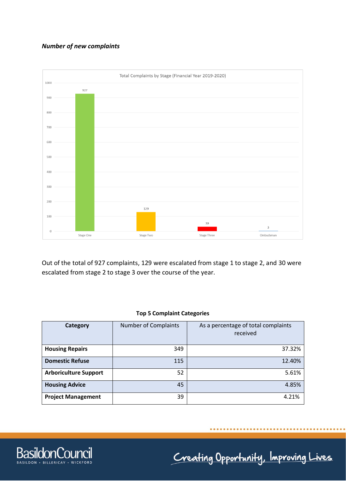# *Number of new complaints*



Out of the total of 927 complaints, 129 were escalated from stage 1 to stage 2, and 30 were escalated from stage 2 to stage 3 over the course of the year.

#### **Top 5 Complaint Categories**

| <b>Category</b>              | <b>Number of Complaints</b> | As a percentage of total complaints<br>received |
|------------------------------|-----------------------------|-------------------------------------------------|
| <b>Housing Repairs</b>       | 349                         | 37.32%                                          |
| <b>Domestic Refuse</b>       | 115                         | 12.40%                                          |
| <b>Arboriculture Support</b> | 52                          | 5.61%                                           |
| <b>Housing Advice</b>        | 45                          | 4.85%                                           |
| <b>Project Management</b>    | 39                          | 4.21%                                           |

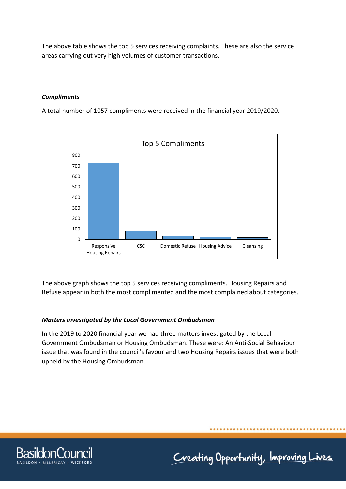The above table shows the top 5 services receiving complaints. These are also the service areas carrying out very high volumes of customer transactions.

# *Compliments*

A total number of 1057 compliments were received in the financial year 2019/2020.



The above graph shows the top 5 services receiving compliments. Housing Repairs and Refuse appear in both the most complimented and the most complained about categories.

#### *Matters Investigated by the Local Government Ombudsman*

In the 2019 to 2020 financial year we had three matters investigated by the Local Government Ombudsman or Housing Ombudsman. These were: An Anti-Social Behaviour issue that was found in the council's favour and two Housing Repairs issues that were both upheld by the Housing Ombudsman.

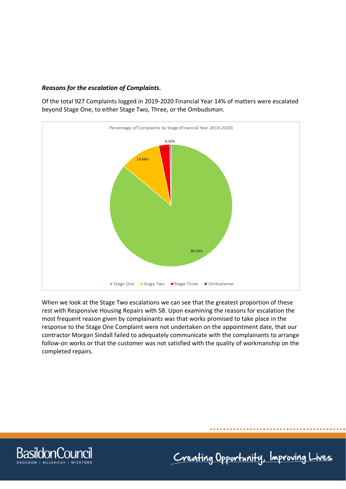## *Reasons for the escalation of Complaints.*

Of the total 927 Complaints logged in 2019-2020 Financial Year 14% of matters were escalated beyond Stage One, to either Stage Two, Three, or the Ombudsman.



When we look at the Stage Two escalations we can see that the greatest proportion of these rest with Responsive Housing Repairs with 58. Upon examining the reasons for escalation the most frequent reason given by complainants was that works promised to take place in the response to the Stage One Complaint were not undertaken on the appointment date, that our contractor Morgan Sindall failed to adequately communicate with the complainants to arrange follow-on works or that the customer was not satisfied with the quality of workmanship on the completed repairs.

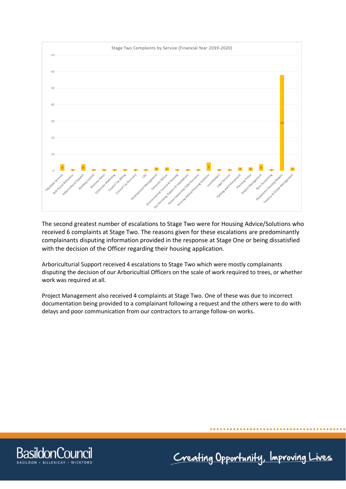

The second greatest number of escalations to Stage Two were for Housing Advice/Solutions who received 6 complaints at Stage Two. The reasons given for these escalations are predominantly complainants disputing information provided in the response at Stage One or being dissatisfied with the decision of the Officer regarding their housing application.

Arboriculturial Support received 4 escalations to Stage Two which were mostly complainants disputing the decision of our Arboricultial Officers on the scale of work required to trees, or whether work was required at all.

Project Management also received 4 complaints at Stage Two. One of these was due to incorrect documentation being provided to a complainant following a request and the others were to do with delays and poor communication from our contractors to arrange follow-on works.

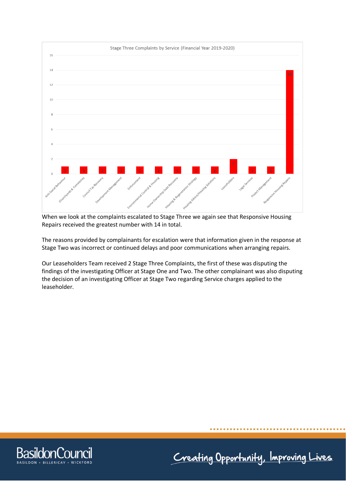

When we look at the complaints escalated to Stage Three we again see that Responsive Housing Repairs received the greatest number with 14 in total.

The reasons provided by complainants for escalation were that information given in the response at Stage Two was incorrect or continued delays and poor communications when arranging repairs.

Our Leaseholders Team received 2 Stage Three Complaints, the first of these was disputing the findings of the investigating Officer at Stage One and Two. The other complainant was also disputing the decision of an investigating Officer at Stage Two regarding Service charges applied to the leaseholder.

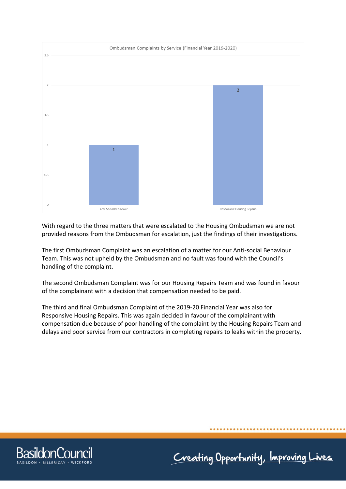

With regard to the three matters that were escalated to the Housing Ombudsman we are not provided reasons from the Ombudsman for escalation, just the findings of their investigations.

The first Ombudsman Complaint was an escalation of a matter for our Anti-social Behaviour Team. This was not upheld by the Ombudsman and no fault was found with the Council's handling of the complaint.

The second Ombudsman Complaint was for our Housing Repairs Team and was found in favour of the complainant with a decision that compensation needed to be paid.

The third and final Ombudsman Complaint of the 2019-20 Financial Year was also for Responsive Housing Repairs. This was again decided in favour of the complainant with compensation due because of poor handling of the complaint by the Housing Repairs Team and delays and poor service from our contractors in completing repairs to leaks within the property.